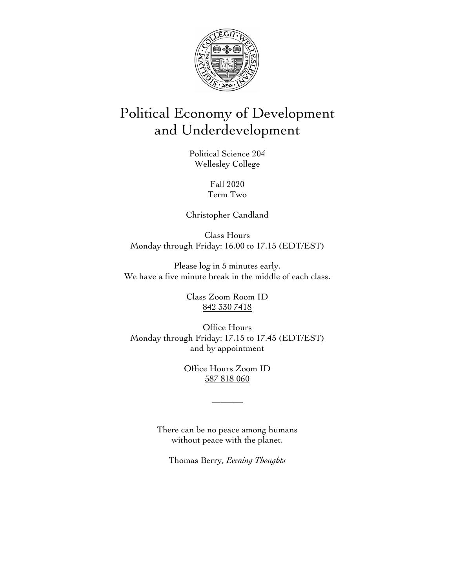

# Political Economy of Development and Underdevelopment

Political Science 204 Wellesley College

> Fall 2020 Term Two

Christopher Candland

Class Hours Monday through Friday: 16.00 to 17.15 (EDT/EST)

Please log in 5 minutes early. We have a five minute break in the middle of each class.

> Class Zoom Room ID 842 330 7418

Office Hours Monday through Friday: 17.15 to 17.45 (EDT/EST) and by appointment

> Office Hours Zoom ID 587 818 060

> > \_\_\_\_\_\_\_

There can be no peace among humans without peace with the planet.

Thomas Berry, *Evening Thoughts*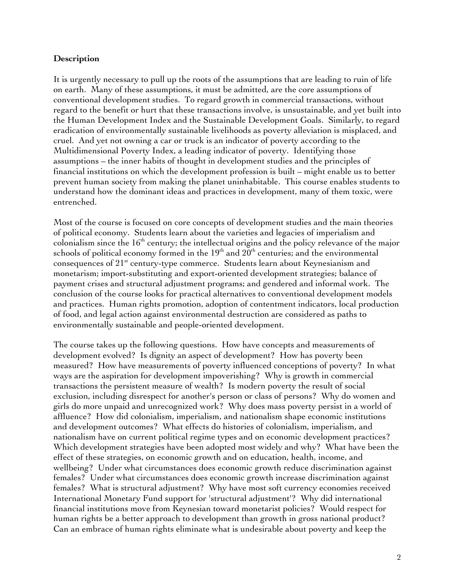# **Description**

It is urgently necessary to pull up the roots of the assumptions that are leading to ruin of life on earth. Many of these assumptions, it must be admitted, are the core assumptions of conventional development studies. To regard growth in commercial transactions, without regard to the benefit or hurt that these transactions involve, is unsustainable, and yet built into the Human Development Index and the Sustainable Development Goals. Similarly, to regard eradication of environmentally sustainable livelihoods as poverty alleviation is misplaced, and cruel. And yet not owning a car or truck is an indicator of poverty according to the Multidimensional Poverty Index, a leading indicator of poverty. Identifying those assumptions – the inner habits of thought in development studies and the principles of financial institutions on which the development profession is built – might enable us to better prevent human society from making the planet uninhabitable. This course enables students to understand how the dominant ideas and practices in development, many of them toxic, were entrenched.

Most of the course is focused on core concepts of development studies and the main theories of political economy. Students learn about the varieties and legacies of imperialism and colonialism since the  $16<sup>th</sup>$  century; the intellectual origins and the policy relevance of the major schools of political economy formed in the  $19<sup>th</sup>$  and  $20<sup>th</sup>$  centuries; and the environmental consequences of 21<sup>st</sup> century-type commerce. Students learn about Keynesianism and monetarism; import-substituting and export-oriented development strategies; balance of payment crises and structural adjustment programs; and gendered and informal work. The conclusion of the course looks for practical alternatives to conventional development models and practices. Human rights promotion, adoption of contentment indicators, local production of food, and legal action against environmental destruction are considered as paths to environmentally sustainable and people-oriented development.

The course takes up the following questions. How have concepts and measurements of development evolved? Is dignity an aspect of development? How has poverty been measured? How have measurements of poverty influenced conceptions of poverty? In what ways are the aspiration for development impoverishing? Why is growth in commercial transactions the persistent measure of wealth? Is modern poverty the result of social exclusion, including disrespect for another's person or class of persons? Why do women and girls do more unpaid and unrecognized work? Why does mass poverty persist in a world of affluence? How did colonialism, imperialism, and nationalism shape economic institutions and development outcomes? What effects do histories of colonialism, imperialism, and nationalism have on current political regime types and on economic development practices? Which development strategies have been adopted most widely and why? What have been the effect of these strategies, on economic growth and on education, health, income, and wellbeing? Under what circumstances does economic growth reduce discrimination against females? Under what circumstances does economic growth increase discrimination against females? What is structural adjustment? Why have most soft currency economies received International Monetary Fund support for 'structural adjustment'? Why did international financial institutions move from Keynesian toward monetarist policies? Would respect for human rights be a better approach to development than growth in gross national product? Can an embrace of human rights eliminate what is undesirable about poverty and keep the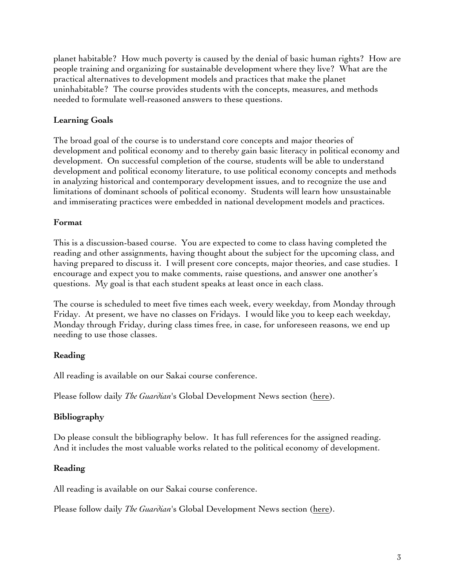planet habitable? How much poverty is caused by the denial of basic human rights? How are people training and organizing for sustainable development where they live? What are the practical alternatives to development models and practices that make the planet uninhabitable? The course provides students with the concepts, measures, and methods needed to formulate well-reasoned answers to these questions.

# **Learning Goals**

The broad goal of the course is to understand core concepts and major theories of development and political economy and to thereby gain basic literacy in political economy and development. On successful completion of the course, students will be able to understand development and political economy literature, to use political economy concepts and methods in analyzing historical and contemporary development issues, and to recognize the use and limitations of dominant schools of political economy. Students will learn how unsustainable and immiserating practices were embedded in national development models and practices.

# **Format**

This is a discussion-based course. You are expected to come to class having completed the reading and other assignments, having thought about the subject for the upcoming class, and having prepared to discuss it. I will present core concepts, major theories, and case studies. I encourage and expect you to make comments, raise questions, and answer one another's questions. My goal is that each student speaks at least once in each class.

The course is scheduled to meet five times each week, every weekday, from Monday through Friday. At present, we have no classes on Fridays. I would like you to keep each weekday, Monday through Friday, during class times free, in case, for unforeseen reasons, we end up needing to use those classes.

# **Reading**

All reading is available on our Sakai course conference.

Please follow daily *The Guardian*'s Global Development News section (here).

# **Bibliography**

Do please consult the bibliography below. It has full references for the assigned reading. And it includes the most valuable works related to the political economy of development.

# **Reading**

All reading is available on our Sakai course conference.

Please follow daily *The Guardian*'s Global Development News section (here).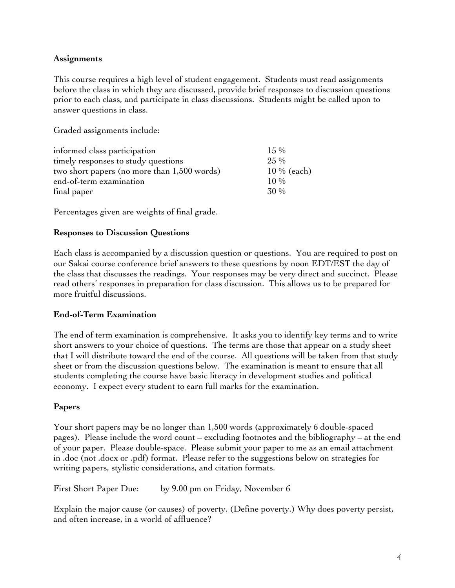# **Assignments**

This course requires a high level of student engagement. Students must read assignments before the class in which they are discussed, provide brief responses to discussion questions prior to each class, and participate in class discussions. Students might be called upon to answer questions in class.

Graded assignments include:

| $15\%$        |
|---------------|
| $25\%$        |
| $10\%$ (each) |
| $10\%$        |
| 30 %          |
|               |

Percentages given are weights of final grade.

# **Responses to Discussion Questions**

Each class is accompanied by a discussion question or questions. You are required to post on our Sakai course conference brief answers to these questions by noon EDT/EST the day of the class that discusses the readings. Your responses may be very direct and succinct. Please read others' responses in preparation for class discussion. This allows us to be prepared for more fruitful discussions.

# **End-of-Term Examination**

The end of term examination is comprehensive. It asks you to identify key terms and to write short answers to your choice of questions. The terms are those that appear on a study sheet that I will distribute toward the end of the course. All questions will be taken from that study sheet or from the discussion questions below. The examination is meant to ensure that all students completing the course have basic literacy in development studies and political economy. I expect every student to earn full marks for the examination.

# **Papers**

Your short papers may be no longer than 1,500 words (approximately 6 double-spaced pages). Please include the word count – excluding footnotes and the bibliography – at the end of your paper. Please double-space. Please submit your paper to me as an email attachment in .doc (not .docx or .pdf) format. Please refer to the suggestions below on strategies for writing papers, stylistic considerations, and citation formats.

First Short Paper Due: by 9.00 pm on Friday, November 6

Explain the major cause (or causes) of poverty. (Define poverty.) Why does poverty persist, and often increase, in a world of affluence?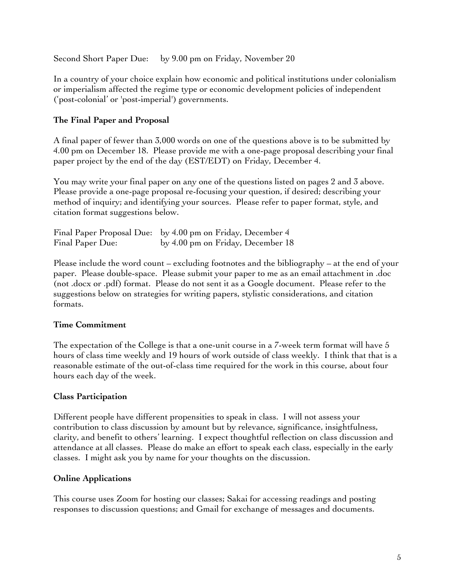Second Short Paper Due: by 9.00 pm on Friday, November 20

In a country of your choice explain how economic and political institutions under colonialism or imperialism affected the regime type or economic development policies of independent ('post-colonial' or 'post-imperial') governments.

# **The Final Paper and Proposal**

A final paper of fewer than 3,000 words on one of the questions above is to be submitted by 4.00 pm on December 18. Please provide me with a one-page proposal describing your final paper project by the end of the day (EST/EDT) on Friday, December 4.

You may write your final paper on any one of the questions listed on pages 2 and 3 above. Please provide a one-page proposal re-focusing your question, if desired; describing your method of inquiry; and identifying your sources. Please refer to paper format, style, and citation format suggestions below.

|                  | Final Paper Proposal Due: by 4.00 pm on Friday, December 4 |
|------------------|------------------------------------------------------------|
| Final Paper Due: | by 4.00 pm on Friday, December 18                          |

Please include the word count – excluding footnotes and the bibliography – at the end of your paper. Please double-space. Please submit your paper to me as an email attachment in .doc (not .docx or .pdf) format. Please do not sent it as a Google document. Please refer to the suggestions below on strategies for writing papers, stylistic considerations, and citation formats.

# **Time Commitment**

The expectation of the College is that a one-unit course in a 7-week term format will have 5 hours of class time weekly and 19 hours of work outside of class weekly. I think that that is a reasonable estimate of the out-of-class time required for the work in this course, about four hours each day of the week.

# **Class Participation**

Different people have different propensities to speak in class. I will not assess your contribution to class discussion by amount but by relevance, significance, insightfulness, clarity, and benefit to others' learning. I expect thoughtful reflection on class discussion and attendance at all classes. Please do make an effort to speak each class, especially in the early classes. I might ask you by name for your thoughts on the discussion.

# **Online Applications**

This course uses Zoom for hosting our classes; Sakai for accessing readings and posting responses to discussion questions; and Gmail for exchange of messages and documents.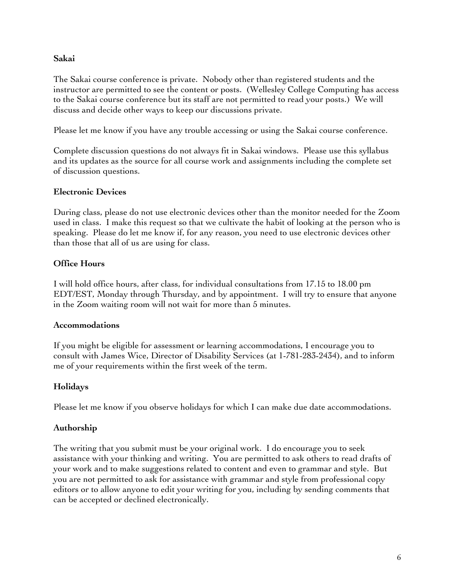# **Sakai**

The Sakai course conference is private. Nobody other than registered students and the instructor are permitted to see the content or posts. (Wellesley College Computing has access to the Sakai course conference but its staff are not permitted to read your posts.) We will discuss and decide other ways to keep our discussions private.

Please let me know if you have any trouble accessing or using the Sakai course conference.

Complete discussion questions do not always fit in Sakai windows. Please use this syllabus and its updates as the source for all course work and assignments including the complete set of discussion questions.

# **Electronic Devices**

During class, please do not use electronic devices other than the monitor needed for the Zoom used in class. I make this request so that we cultivate the habit of looking at the person who is speaking. Please do let me know if, for any reason, you need to use electronic devices other than those that all of us are using for class.

# **Office Hours**

I will hold office hours, after class, for individual consultations from 17.15 to 18.00 pm EDT/EST, Monday through Thursday, and by appointment. I will try to ensure that anyone in the Zoom waiting room will not wait for more than 5 minutes.

# **Accommodations**

If you might be eligible for assessment or learning accommodations, I encourage you to consult with James Wice, Director of Disability Services (at 1-781-283-2434), and to inform me of your requirements within the first week of the term.

# **Holidays**

Please let me know if you observe holidays for which I can make due date accommodations.

# **Authorship**

The writing that you submit must be your original work. I do encourage you to seek assistance with your thinking and writing. You are permitted to ask others to read drafts of your work and to make suggestions related to content and even to grammar and style. But you are not permitted to ask for assistance with grammar and style from professional copy editors or to allow anyone to edit your writing for you, including by sending comments that can be accepted or declined electronically.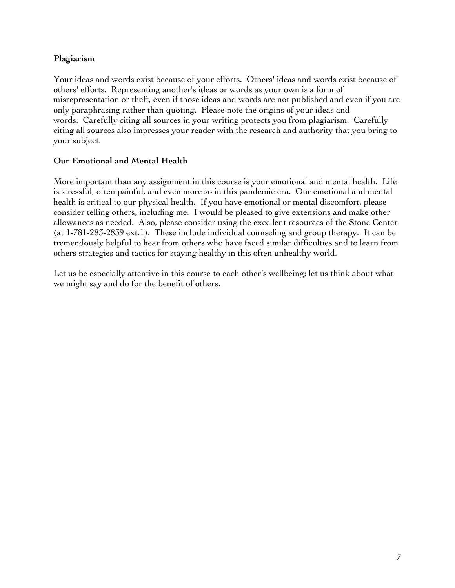# **Plagiarism**

Your ideas and words exist because of your efforts. Others' ideas and words exist because of others' efforts. Representing another's ideas or words as your own is a form of misrepresentation or theft, even if those ideas and words are not published and even if you are only paraphrasing rather than quoting. Please note the origins of your ideas and words. Carefully citing all sources in your writing protects you from plagiarism. Carefully citing all sources also impresses your reader with the research and authority that you bring to your subject.

# **Our Emotional and Mental Health**

More important than any assignment in this course is your emotional and mental health. Life is stressful, often painful, and even more so in this pandemic era. Our emotional and mental health is critical to our physical health. If you have emotional or mental discomfort, please consider telling others, including me. I would be pleased to give extensions and make other allowances as needed. Also, please consider using the excellent resources of the Stone Center (at 1-781-283-2839 ext.1). These include individual counseling and group therapy. It can be tremendously helpful to hear from others who have faced similar difficulties and to learn from others strategies and tactics for staying healthy in this often unhealthy world.

Let us be especially attentive in this course to each other's wellbeing; let us think about what we might say and do for the benefit of others.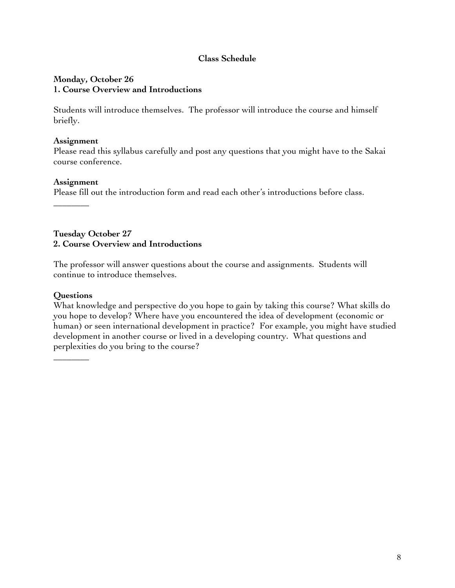# **Class Schedule**

# **Monday, October 26 1. Course Overview and Introductions**

Students will introduce themselves. The professor will introduce the course and himself briefly.

### **Assignment**

Please read this syllabus carefully and post any questions that you might have to the Sakai course conference.

# **Assignment**

 $\overline{\phantom{a}}$   $\overline{\phantom{a}}$ 

Please fill out the introduction form and read each other's introductions before class.

**Tuesday October 27 2. Course Overview and Introductions**

The professor will answer questions about the course and assignments. Students will continue to introduce themselves.

### **Questions**

 $\overline{\phantom{a}}$   $\overline{\phantom{a}}$ 

What knowledge and perspective do you hope to gain by taking this course? What skills do you hope to develop? Where have you encountered the idea of development (economic or human) or seen international development in practice? For example, you might have studied development in another course or lived in a developing country. What questions and perplexities do you bring to the course?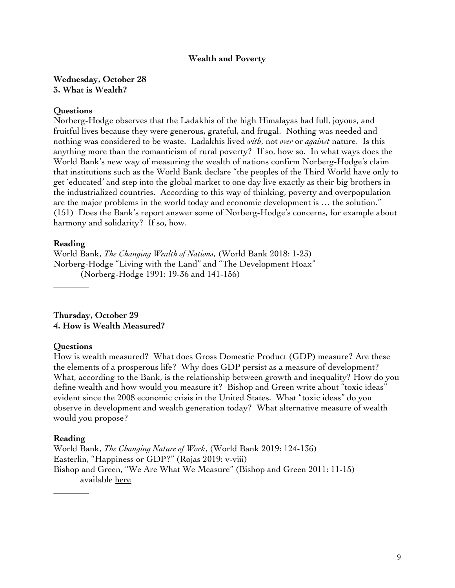#### **Wealth and Poverty**

**Wednesday, October 28 3. What is Wealth?**

#### **Questions**

Norberg-Hodge observes that the Ladakhis of the high Himalayas had full, joyous, and fruitful lives because they were generous, grateful, and frugal. Nothing was needed and nothing was considered to be waste. Ladakhis lived *with*, not *over* or *against* nature. Is this anything more than the romanticism of rural poverty? If so, how so. In what ways does the World Bank's new way of measuring the wealth of nations confirm Norberg-Hodge's claim that institutions such as the World Bank declare "the peoples of the Third World have only to get 'educated' and step into the global market to one day live exactly as their big brothers in the industrialized countries. According to this way of thinking, poverty and overpopulation are the major problems in the world today and economic development is … the solution." (151) Does the Bank's report answer some of Norberg-Hodge's concerns, for example about harmony and solidarity? If so, how.

#### **Reading**

\_\_\_\_\_\_\_\_

World Bank, *The Changing Wealth of Nations*, (World Bank 2018: 1-23) Norberg-Hodge "Living with the Land" and "The Development Hoax" (Norberg-Hodge 1991: 19-36 and 141-156)

**Thursday, October 29 4. How is Wealth Measured?**

#### **Questions**

How is wealth measured? What does Gross Domestic Product (GDP) measure? Are these the elements of a prosperous life? Why does GDP persist as a measure of development? What, according to the Bank, is the relationship between growth and inequality? How do you define wealth and how would you measure it? Bishop and Green write about "toxic ideas" evident since the 2008 economic crisis in the United States. What "toxic ideas" do you observe in development and wealth generation today? What alternative measure of wealth would you propose?

#### **Reading**

\_\_\_\_\_\_\_\_

World Bank, *The Changing Nature of Work*, (World Bank 2019: 124-136) Easterlin, "Happiness or GDP?" (Rojas 2019: v-viii) Bishop and Green, "We Are What We Measure" (Bishop and Green 2011: 11-15) available here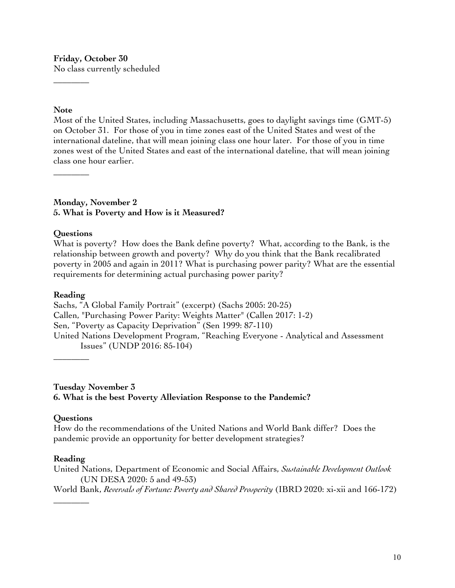# **Friday, October 30**

No class currently scheduled

# **Note**

 $\overline{\phantom{a}}$   $\overline{\phantom{a}}$ 

Most of the United States, including Massachusetts, goes to daylight savings time (GMT-5) on October 31. For those of you in time zones east of the United States and west of the international dateline, that will mean joining class one hour later. For those of you in time zones west of the United States and east of the international dateline, that will mean joining class one hour earlier.

### **Monday, November 2 5. What is Poverty and How is it Measured?**

# **Questions**

 $\overline{\phantom{a}}$   $\overline{\phantom{a}}$ 

What is poverty? How does the Bank define poverty? What, according to the Bank, is the relationship between growth and poverty? Why do you think that the Bank recalibrated poverty in 2005 and again in 2011? What is purchasing power parity? What are the essential requirements for determining actual purchasing power parity?

# **Reading**

Sachs, "A Global Family Portrait" (excerpt) (Sachs 2005: 20-25) Callen, "Purchasing Power Parity: Weights Matter" (Callen 2017: 1-2) Sen, "Poverty as Capacity Deprivation" (Sen 1999: 87-110) United Nations Development Program, "Reaching Everyone - Analytical and Assessment Issues" (UNDP 2016: 85-104)

**Tuesday November 3 6. What is the best Poverty Alleviation Response to the Pandemic?**

# **Questions**

\_\_\_\_\_\_\_\_

How do the recommendations of the United Nations and World Bank differ? Does the pandemic provide an opportunity for better development strategies?

# **Reading**

\_\_\_\_\_\_\_\_

United Nations, Department of Economic and Social Affairs, *Sustainable Development Outlook* (UN DESA 2020: 5 and 49-53) World Bank, *Reversals of Fortune: Poverty and Shared Prosperity* (IBRD 2020: xi-xii and 166-172)

10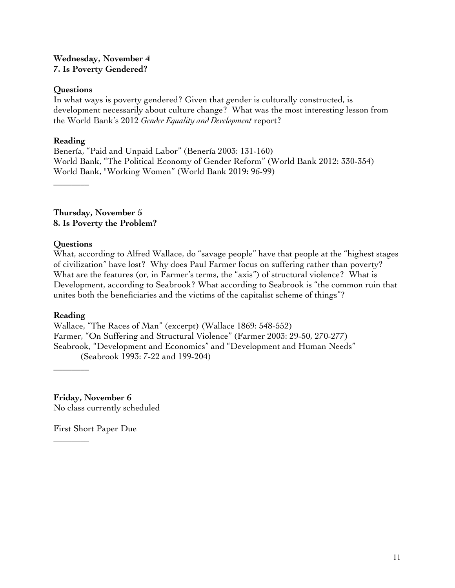# **Wednesday, November 4 7. Is Poverty Gendered?**

# **Questions**

In what ways is poverty gendered? Given that gender is culturally constructed, is development necessarily about culture change? What was the most interesting lesson from the World Bank's 2012 *Gender Equality and Development* report?

# **Reading**

 $\overline{\phantom{a}}$   $\overline{\phantom{a}}$ 

Benería, "Paid and Unpaid Labor" (Benería 2003: 131-160) World Bank, "The Political Economy of Gender Reform" (World Bank 2012: 330-354) World Bank, "Working Women" (World Bank 2019: 96-99)

**Thursday, November 5 8. Is Poverty the Problem?**

# **Questions**

What, according to Alfred Wallace, do "savage people" have that people at the "highest stages of civilization" have lost? Why does Paul Farmer focus on suffering rather than poverty? What are the features (or, in Farmer's terms, the "axis") of structural violence? What is Development, according to Seabrook? What according to Seabrook is "the common ruin that unites both the beneficiaries and the victims of the capitalist scheme of things"?

# **Reading**

\_\_\_\_\_\_\_\_

 $\overline{\phantom{a}}$   $\overline{\phantom{a}}$ 

Wallace, "The Races of Man" (excerpt) (Wallace 1869: 548-552) Farmer, "On Suffering and Structural Violence" (Farmer 2003: 29-50, 270-277) Seabrook, "Development and Economics" and "Development and Human Needs" (Seabrook 1993: 7-22 and 199-204)

**Friday, November 6** No class currently scheduled

First Short Paper Due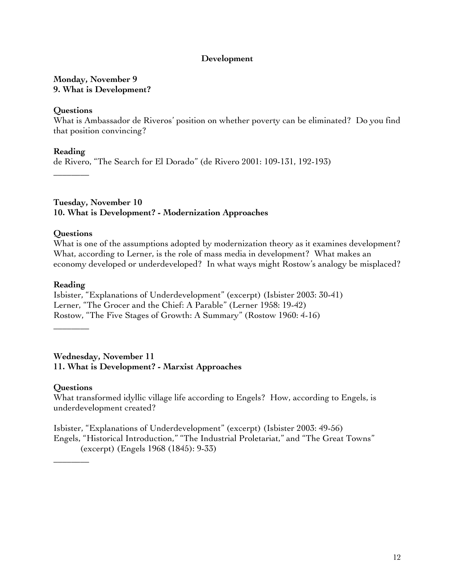#### **Development**

# **Monday, November 9 9. What is Development?**

### **Questions**

What is Ambassador de Riveros' position on whether poverty can be eliminated? Do you find that position convincing?

**Reading** de Rivero, "The Search for El Dorado" (de Rivero 2001: 109-131, 192-193) \_\_\_\_\_\_\_\_

**Tuesday, November 10 10. What is Development? - Modernization Approaches**

#### **Questions**

What is one of the assumptions adopted by modernization theory as it examines development? What, according to Lerner, is the role of mass media in development? What makes an economy developed or underdeveloped? In what ways might Rostow's analogy be misplaced?

#### **Reading**

\_\_\_\_\_\_\_\_

Isbister, "Explanations of Underdevelopment" (excerpt) (Isbister 2003: 30-41) Lerner, "The Grocer and the Chief: A Parable" (Lerner 1958: 19-42) Rostow, "The Five Stages of Growth: A Summary" (Rostow 1960: 4-16)

**Wednesday, November 11 11. What is Development? - Marxist Approaches**

# **Questions**

 $\overline{\phantom{a}}$   $\overline{\phantom{a}}$ 

What transformed idyllic village life according to Engels? How, according to Engels, is underdevelopment created?

Isbister, "Explanations of Underdevelopment" (excerpt) (Isbister 2003: 49-56) Engels, "Historical Introduction," "The Industrial Proletariat," and "The Great Towns" (excerpt) (Engels 1968 (1845): 9-33)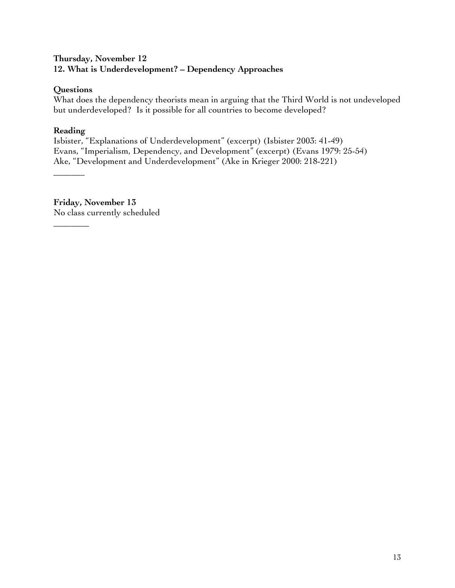# **Thursday, November 12 12. What is Underdevelopment? – Dependency Approaches**

# **Questions**

What does the dependency theorists mean in arguing that the Third World is not undeveloped but underdeveloped? Is it possible for all countries to become developed?

# **Reading**

**\_\_\_\_\_\_\_**

\_\_\_\_\_\_\_\_

Isbister, "Explanations of Underdevelopment" (excerpt) (Isbister 2003: 41-49) Evans, "Imperialism, Dependency, and Development" (excerpt) (Evans 1979: 25-54) Ake, "Development and Underdevelopment" (Ake in Krieger 2000: 218-221)

**Friday, November 13** No class currently scheduled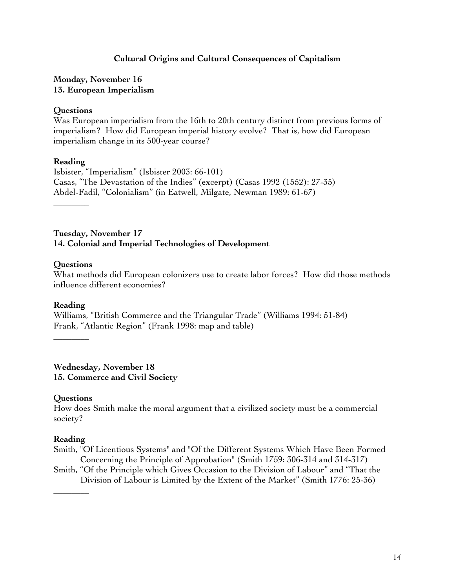# **Cultural Origins and Cultural Consequences of Capitalism**

# **Monday, November 16 13. European Imperialism**

### **Questions**

Was European imperialism from the 16th to 20th century distinct from previous forms of imperialism? How did European imperial history evolve? That is, how did European imperialism change in its 500-year course?

#### **Reading**

Isbister, "Imperialism" (Isbister 2003: 66-101) Casas, "The Devastation of the Indies" (excerpt) (Casas 1992 (1552): 27-35) Abdel-Fadil, "Colonialism" (in Eatwell, Milgate, Newman 1989: 61-67)

 $\overline{\phantom{a}}$   $\overline{\phantom{a}}$ 

#### **Tuesday, November 17 14. Colonial and Imperial Technologies of Development**

# **Questions**

What methods did European colonizers use to create labor forces? How did those methods influence different economies?

# **Reading**

Williams, "British Commerce and the Triangular Trade" (Williams 1994: 51-84) Frank, "Atlantic Region" (Frank 1998: map and table)

\_\_\_\_\_\_\_\_

**Wednesday, November 18 15. Commerce and Civil Society**

# **Questions**

How does Smith make the moral argument that a civilized society must be a commercial society?

# **Reading**

 $\overline{\phantom{a}}$   $\overline{\phantom{a}}$ 

- Smith, "Of Licentious Systems" and "Of the Different Systems Which Have Been Formed Concerning the Principle of Approbation" (Smith 1759: 306-314 and 314-317)
- Smith, "Of the Principle which Gives Occasion to the Division of Labour" and "That the Division of Labour is Limited by the Extent of the Market" (Smith 1776: 25-36)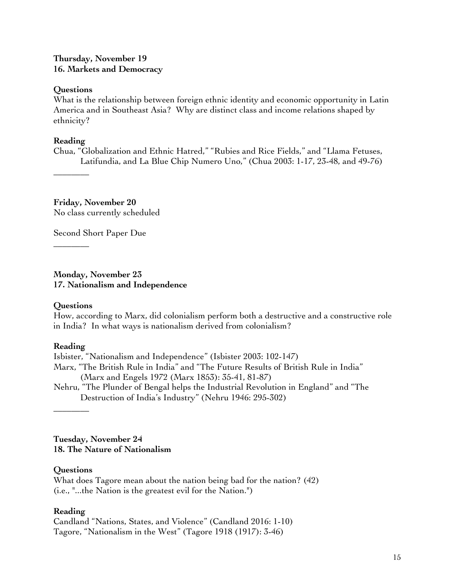# **Thursday, November 19 16. Markets and Democracy**

### **Questions**

What is the relationship between foreign ethnic identity and economic opportunity in Latin America and in Southeast Asia? Why are distinct class and income relations shaped by ethnicity?

### **Reading**

\_\_\_\_\_\_\_\_

\_\_\_\_\_\_\_\_

Chua, "Globalization and Ethnic Hatred," "Rubies and Rice Fields," and "Llama Fetuses, Latifundia, and La Blue Chip Numero Uno," (Chua 2003: 1-17, 23-48, and 49-76)

**Friday, November 20** No class currently scheduled

Second Short Paper Due

**Monday, November 23 17. Nationalism and Independence**

# **Questions**

How, according to Marx, did colonialism perform both a destructive and a constructive role in India? In what ways is nationalism derived from colonialism?

# **Reading**

Isbister, "Nationalism and Independence" (Isbister 2003: 102-147) Marx, "The British Rule in India" and "The Future Results of British Rule in India" (Marx and Engels 1972 (Marx 1853): 35-41, 81-87) Nehru, "The Plunder of Bengal helps the Industrial Revolution in England" and "The

Destruction of India's Industry" (Nehru 1946: 295-302)

**Tuesday, November 24 18. The Nature of Nationalism**

# **Questions**

**\_\_\_\_\_\_\_\_**

What does Tagore mean about the nation being bad for the nation? (42) (i.e., "...the Nation is the greatest evil for the Nation.")

# **Reading**

Candland "Nations, States, and Violence" (Candland 2016: 1-10) Tagore, "Nationalism in the West" (Tagore 1918 (1917): 3-46)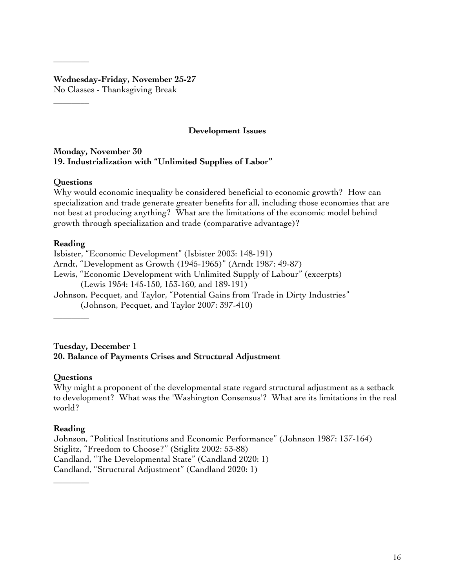#### **Wednesday-Friday, November 25-27** No Classes - Thanksgiving Break

# **Development Issues**

#### **Monday, November 30 19. Industrialization with "Unlimited Supplies of Labor"**

# **Questions**

**\_\_\_\_\_\_\_\_**

\_\_\_\_\_\_\_\_

Why would economic inequality be considered beneficial to economic growth? How can specialization and trade generate greater benefits for all, including those economies that are not best at producing anything? What are the limitations of the economic model behind growth through specialization and trade (comparative advantage)?

# **Reading**

Isbister, "Economic Development" (Isbister 2003: 148-191) Arndt, "Development as Growth (1945-1965)" (Arndt 1987: 49-87) Lewis, "Economic Development with Unlimited Supply of Labour" (excerpts) (Lewis 1954: 145-150, 153-160, and 189-191) Johnson, Pecquet, and Taylor, "Potential Gains from Trade in Dirty Industries" (Johnson, Pecquet, and Taylor 2007: 397-410)

 $\overline{\phantom{a}}$   $\overline{\phantom{a}}$ 

**Tuesday, December 1 20. Balance of Payments Crises and Structural Adjustment**

# **Questions**

Why might a proponent of the developmental state regard structural adjustment as a setback to development? What was the 'Washington Consensus'? What are its limitations in the real world?

# **Reading**

 $\overline{\phantom{a}}$   $\overline{\phantom{a}}$ 

Johnson, "Political Institutions and Economic Performance" (Johnson 1987: 137-164) Stiglitz, "Freedom to Choose?" (Stiglitz 2002: 53-88) Candland, "The Developmental State" (Candland 2020: 1) Candland, "Structural Adjustment" (Candland 2020: 1)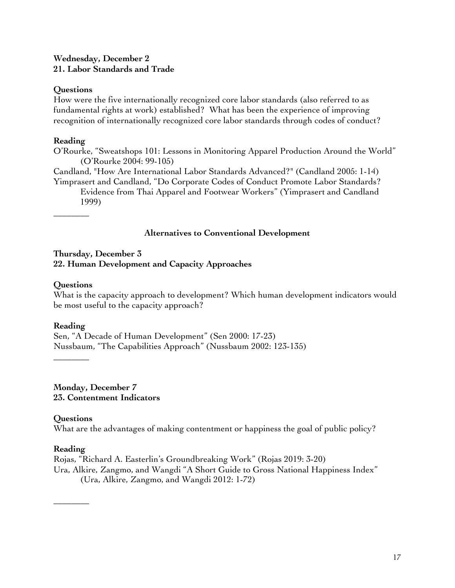# **Wednesday, December 2 21. Labor Standards and Trade**

### **Questions**

How were the five internationally recognized core labor standards (also referred to as fundamental rights at work) established? What has been the experience of improving recognition of internationally recognized core labor standards through codes of conduct?

### **Reading**

O'Rourke, "Sweatshops 101: Lessons in Monitoring Apparel Production Around the World" (O'Rourke 2004: 99-105)

Candland, "How Are International Labor Standards Advanced?" (Candland 2005: 1-14)

Yimprasert and Candland, "Do Corporate Codes of Conduct Promote Labor Standards? Evidence from Thai Apparel and Footwear Workers" (Yimprasert and Candland

1999)  $\overline{\phantom{a}}$   $\overline{\phantom{a}}$ 

# **Alternatives to Conventional Development**

# **Thursday, December 3 22. Human Development and Capacity Approaches**

#### **Questions**

What is the capacity approach to development? Which human development indicators would be most useful to the capacity approach?

# **Reading**

**\_\_\_\_\_\_\_\_**

Sen, "A Decade of Human Development" (Sen 2000: 17-23) Nussbaum, "The Capabilities Approach" (Nussbaum 2002: 123-135)

**Monday, December 7 23. Contentment Indicators** 

# **Questions**

What are the advantages of making contentment or happiness the goal of public policy?

#### **Reading**

**\_\_\_\_\_\_\_\_**

Rojas, "Richard A. Easterlin's Groundbreaking Work" (Rojas 2019: 3-20) Ura, Alkire, Zangmo, and Wangdi "A Short Guide to Gross National Happiness Index" (Ura, Alkire, Zangmo, and Wangdi 2012: 1-72)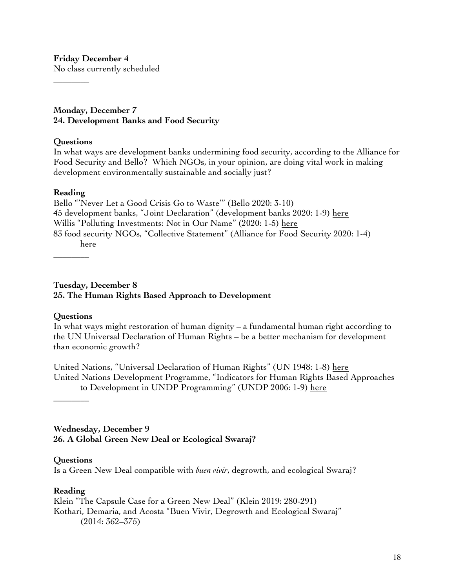**Friday December 4**

No class currently scheduled

**Monday, December 7 24. Development Banks and Food Security** 

### **Questions**

**\_\_\_\_\_\_\_\_**

In what ways are development banks undermining food security, according to the Alliance for Food Security and Bello? Which NGOs, in your opinion, are doing vital work in making development environmentally sustainable and socially just?

#### **Reading**

Bello "'Never Let a Good Crisis Go to Waste'" (Bello 2020: 3-10) 45 development banks, "Joint Declaration" (development banks 2020: 1-9) here Willis "Polluting Investments: Not in Our Name" (2020: 1-5) here 83 food security NGOs, "Collective Statement" (Alliance for Food Security 2020: 1-4) here

\_\_\_\_\_\_\_\_

**Tuesday, December 8 25. The Human Rights Based Approach to Development**

# **Questions**

In what ways might restoration of human dignity – a fundamental human right according to the UN Universal Declaration of Human Rights – be a better mechanism for development than economic growth?

United Nations, "Universal Declaration of Human Rights" (UN 1948: 1-8) here United Nations Development Programme, "Indicators for Human Rights Based Approaches to Development in UNDP Programming" (UNDP 2006: 1-9) here

\_\_\_\_\_\_\_\_

**Wednesday, December 9 26. A Global Green New Deal or Ecological Swaraj?**

# **Questions**

Is a Green New Deal compatible with *buen vivir*, degrowth, and ecological Swaraj?

# **Reading**

Klein "The Capsule Case for a Green New Deal" (Klein 2019: 280-291) Kothari, Demaria, and Acosta "Buen Vivir, Degrowth and Ecological Swaraj" (2014: 362–375)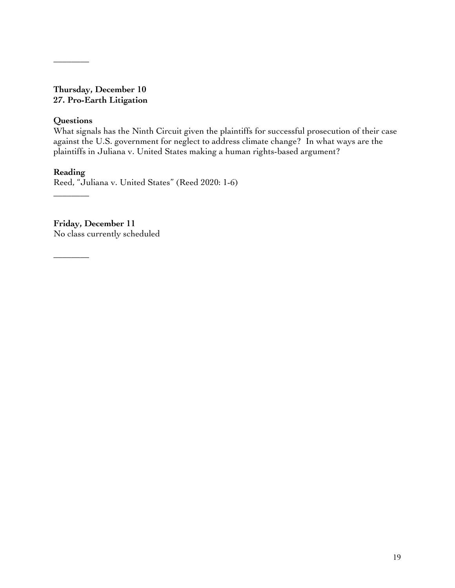# **Thursday, December 10 27. Pro-Earth Litigation**

# **Questions**

\_\_\_\_\_\_\_\_

What signals has the Ninth Circuit given the plaintiffs for successful prosecution of their case against the U.S. government for neglect to address climate change? In what ways are the plaintiffs in Juliana v. United States making a human rights-based argument?

# **Reading**

\_\_\_\_\_\_\_\_

Reed, "Juliana v. United States" (Reed 2020: 1-6)

**Friday, December 11** No class currently scheduled

\_\_\_\_\_\_\_\_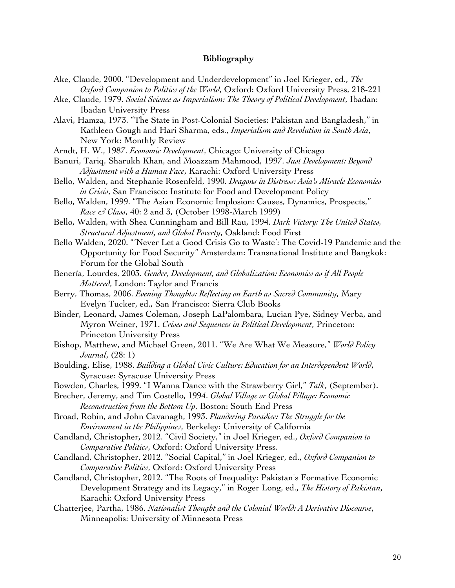#### **Bibliography**

- Ake, Claude, 2000. "Development and Underdevelopment" in Joel Krieger, ed., *The Oxford Companion to Politics of the World*, Oxford: Oxford University Press, 218-221
- Ake, Claude, 1979. *Social Science as Imperialism: The Theory of Political Development*, Ibadan: Ibadan University Press
- Alavi, Hamza, 1973. "The State in Post-Colonial Societies: Pakistan and Bangladesh," in Kathleen Gough and Hari Sharma, eds., *Imperialism and Revolution in South Asia*, New York: Monthly Review
- Arndt, H. W., 1987. *Economic Development*, Chicago: University of Chicago
- Banuri, Tariq, Sharukh Khan, and Moazzam Mahmood, 1997. *Just Development: Beyond Adjustment with a Human Face*, Karachi: Oxford University Press
- Bello, Walden, and Stephanie Rosenfeld, 1990. *Dragons in Distress: Asia's Miracle Economies in Crisis*, San Francisco: Institute for Food and Development Policy
- Bello, Walden, 1999. "The Asian Economic Implosion: Causes, Dynamics, Prospects," *Race & Class*, 40: 2 and 3, (October 1998-March 1999)
- Bello, Walden, with Shea Cunningham and Bill Rau, 1994. *Dark Victory: The United States, Structural Adjustment, and Global Poverty*, Oakland: Food First
- Bello Walden, 2020. "'Never Let a Good Crisis Go to Waste': The Covid-19 Pandemic and the Opportunity for Food Security" Amsterdam: Transnational Institute and Bangkok: Forum for the Global South
- Benería, Lourdes, 2003. *Gender, Development, and Globalization: Economics as if All People Mattered*, London: Taylor and Francis
- Berry, Thomas, 2006. *Evening Thoughts: Reflecting on Earth as Sacred Community*, Mary Evelyn Tucker, ed., San Francisco: Sierra Club Books
- Binder, Leonard, James Coleman, Joseph LaPalombara, Lucian Pye, Sidney Verba, and Myron Weiner, 1971. *Crises and Sequences in Political Development*, Princeton: Princeton University Press
- Bishop, Matthew, and Michael Green, 2011. "We Are What We Measure," *World Policy Journal*, (28: 1)
- Boulding, Elise, 1988. *Building a Global Civic Culture: Education for an Interdependent World*, Syracuse: Syracuse University Press
- Bowden, Charles, 1999. "I Wanna Dance with the Strawberry Girl," *Talk*, (September).
- Brecher, Jeremy, and Tim Costello, 1994. *Global Village or Global Pillage: Economic Reconstruction from the Bottom Up*, Boston: South End Press
- Broad, Robin, and John Cavanagh, 1993. *Plundering Paradise: The Struggle for the Environment in the Philippines*, Berkeley: University of California
- Candland, Christopher, 2012. "Civil Society," in Joel Krieger, ed., *Oxford Companion to Comparative Politics*, Oxford: Oxford University Press.
- Candland, Christopher, 2012. "Social Capital," in Joel Krieger, ed., *Oxford Companion to Comparative Politics*, Oxford: Oxford University Press
- Candland, Christopher, 2012. "The Roots of Inequality: Pakistan's Formative Economic Development Strategy and its Legacy," in Roger Long, ed., *The History of Pakistan*, Karachi: Oxford University Press
- Chatterjee, Partha, 1986. *Nationalist Thought and the Colonial World: A Derivative Discourse*, Minneapolis: University of Minnesota Press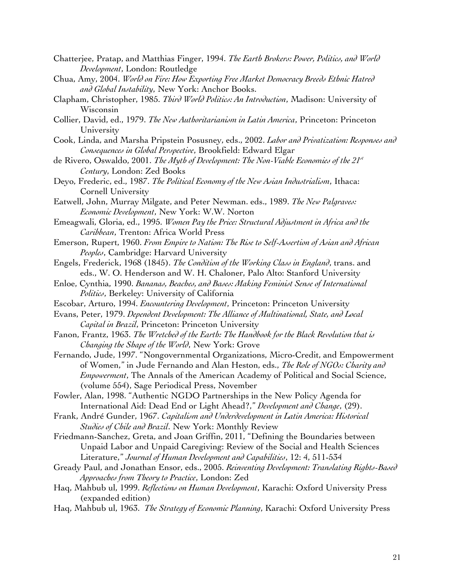- Chatterjee, Pratap, and Matthias Finger, 1994. *The Earth Brokers: Power, Politics, and World Development*, London: Routledge
- Chua, Amy, 2004. *World on Fire: How Exporting Free Market Democracy Breeds Ethnic Hatred and Global Instability*, New York: Anchor Books.
- Clapham, Christopher, 1985. *Third World Politics: An Introduction*, Madison: University of Wisconsin
- Collier, David, ed., 1979. *The New Authoritarianism in Latin America*, Princeton: Princeton University
- Cook, Linda, and Marsha Pripstein Posusney, eds., 2002. *Labor and Privatization: Responses and Consequences in Global Perspective*, Brookfield: Edward Elgar
- de Rivero, Oswaldo, 2001. *The Myth of Development: The Non-Viable Economies of the 21<sup>st</sup> Century*, London: Zed Books
- Deyo, Frederic, ed., 1987. *The Political Economy of the New Asian Industrialism*, Ithaca: Cornell University
- Eatwell, John, Murray Milgate, and Peter Newman. eds., 1989. *The New Palgraves: Economic Development*, New York: W.W. Norton
- Emeagwali, Gloria, ed., 1995. *Women Pay the Price: Structural Adjustment in Africa and the Caribbean*, Trenton: Africa World Press
- Emerson, Rupert, 1960. *From Empire to Nation: The Rise to Self-Assertion of Asian and African Peoples*, Cambridge: Harvard University
- Engels, Frederick, 1968 (1845). *The Condition of the Working Class in England*, trans. and eds., W. O. Henderson and W. H. Chaloner, Palo Alto: Stanford University
- Enloe, Cynthia, 1990. *Bananas, Beaches, and Bases: Making Feminist Sense of International Politics*, Berkeley: University of California
- Escobar, Arturo, 1994. *Encountering Development*, Princeton: Princeton University
- Evans, Peter, 1979. *Dependent Development: The Alliance of Multinational, State, and Local Capital in Brazil*, Princeton: Princeton University
- Fanon, Frantz, 1963. *The Wretched of the Earth: The Handbook for the Black Revolution that is Changing the Shape of the World*, New York: Grove
- Fernando, Jude, 1997. "Nongovernmental Organizations, Micro-Credit, and Empowerment of Women," in Jude Fernando and Alan Heston, eds., *The Role of NGOs: Charity and Empowerment*, The Annals of the American Academy of Political and Social Science, (volume 554), Sage Periodical Press, November
- Fowler, Alan, 1998. "Authentic NGDO Partnerships in the New Policy Agenda for International Aid: Dead End or Light Ahead?," *Development and Change*, (29).
- Frank, André Gunder, 1967. *Capitalism and Underdevelopment in Latin America: Historical Studies of Chile and Brazil*. New York: Monthly Review
- Friedmann-Sanchez, Greta, and Joan Griffin, 2011, "Defining the Boundaries between Unpaid Labor and Unpaid Caregiving: Review of the Social and Health Sciences Literature," *Journal of Human Development and Capabilities*, 12: 4, 511-534
- Gready Paul, and Jonathan Ensor, eds., 2005. *Reinventing Development: Translating Rights-Based Approaches from Theory to Practice*, London: Zed
- Haq, Mahbub ul, 1999. *Reflections on Human Development*, Karachi: Oxford University Press (expanded edition)
- Haq, Mahbub ul, 1963. *The Strategy of Economic Planning*, Karachi: Oxford University Press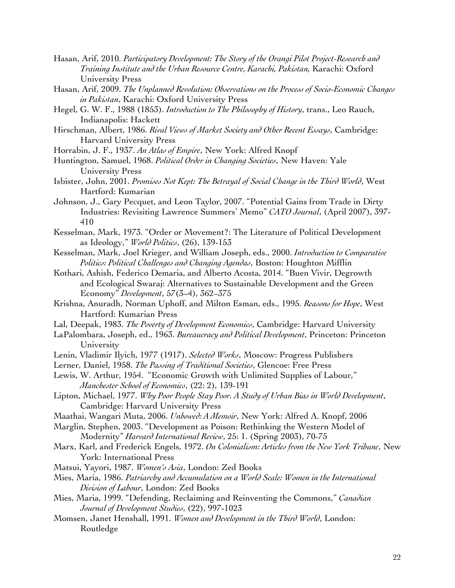- Hasan, Arif, 2010. *Participatory Development: The Story of the Orangi Pilot Project-Research and Training Institute and the Urban Resource Centre, Karachi, Pakistan,* Karachi: Oxford University Press
- Hasan, Arif, 2009. *The Unplanned Revolution: Observations on the Process of Socio-Economic Changes in Pakistan*, Karachi: Oxford University Press
- Hegel, G. W. F., 1988 (1853). *Introduction to The Philosophy of History*, trans., Leo Rauch, Indianapolis: Hackett
- Hirschman, Albert, 1986. *Rival Views of Market Society and Other Recent Essays*, Cambridge: Harvard University Press
- Horrabin, J. F., 1937. *An Atlas of Empire*, New York: Alfred Knopf
- Huntington, Samuel, 1968. *Political Order in Changing Societies*, New Haven: Yale University Press
- Isbister, John, 2001. *Promises Not Kept: The Betrayal of Social Change in the Third World*, West Hartford: Kumarian
- Johnson, J., Gary Pecquet, and Leon Taylor, 2007. "Potential Gains from Trade in Dirty Industries: Revisiting Lawrence Summers' Memo" *CATO Journal*, (April 2007), 397- 410
- Kesselman, Mark, 1973. "Order or Movement?: The Literature of Political Development as Ideology," *World Politics*, (26), 139-153
- Kesselman, Mark, Joel Krieger, and William Joseph, eds., 2000. *Introduction to Comparative Politics: Political Challenges and Changing Agendas*, Boston: Houghton Mifflin
- Kothari, Ashish, Federico Demaria, and Alberto Acosta, 2014. "Buen Vivir, Degrowth and Ecological Swaraj: Alternatives to Sustainable Development and the Green Economy" *Development*, 57(3–4), 362–375
- Krishna, Anuradh, Norman Uphoff, and Milton Esman, eds., 1995. *Reasons for Hope*, West Hartford: Kumarian Press
- Lal, Deepak, 1983. *The Poverty of Development Economics*, Cambridge: Harvard University
- LaPalombara, Joseph, ed., 1963. *Bureaucracy and Political Development*, Princeton: Princeton University
- Lenin, Vladimir Ilyich, 1977 (1917). *Selected Works*, Moscow: Progress Publishers
- Lerner, Daniel, 1958. *The Passing of Traditional Societies*, Glencoe: Free Press
- Lewis, W. Arthur, 1954. "Economic Growth with Unlimited Supplies of Labour," *Manchester School of Economics*, (22: 2), 139-191
- Lipton, Michael, 1977. *Why Poor People Stay Poor. A Study of Urban Bias in World Development*, Cambridge: Harvard University Press
- Maathai, Wangari Muta, 2006. *Unbowed: A Memoir*, New York: Alfred A. Knopf, 2006
- Marglin, Stephen, 2003. "Development as Poison: Rethinking the Western Model of Modernity" *Harvard International Review*, 25: 1. (Spring 2003), 70-75
- Marx, Karl, and Frederick Engels, 1972. *On Colonialism: Articles from the New York Tribune*, New York: International Press
- Matsui, Yayori, 1987. *Women's Asia*, London: Zed Books
- Mies, Maria, 1986. *Patriarchy and Accumulation on a World Scale: Women in the International Division of Labour*, London: Zed Books
- Mies, Maria, 1999. "Defending, Reclaiming and Reinventing the Commons," *Canadian Journal of Development Studies*, (22), 997-1023
- Momsen, Janet Henshall, 1991. *Women and Development in the Third World*, London: Routledge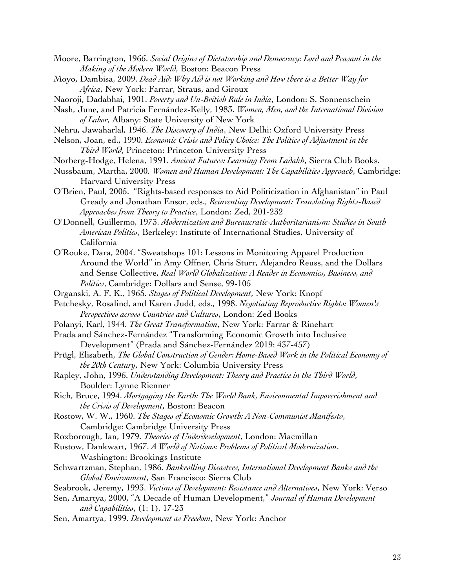- Moore, Barrington, 1966. *Social Origins of Dictatorship and Democracy: Lord and Peasant in the Making of the Modern World*, Boston: Beacon Press
- Moyo, Dambisa, 2009. *Dead Aid: Why Aid is not Working and How there is a Better Way for Africa*, New York: Farrar, Straus, and Giroux
- Naoroji, Dadabhai, 1901. *Poverty and Un-British Rule in India*, London: S. Sonnenschein
- Nash, June, and Patricia Fernández-Kelly, 1983. *Women, Men, and the International Division of Labor*, Albany: State University of New York
- Nehru, Jawaharlal, 1946. *The Discovery of India*, New Delhi: Oxford University Press
- Nelson, Joan, ed., 1990. *Economic Crisis and Policy Choice: The Politics of Adjustment in the Third World*, Princeton: Princeton University Press
- Norberg-Hodge, Helena, 1991. *Ancient Futures: Learning From Ladakh*, Sierra Club Books.
- Nussbaum, Martha, 2000. *Women and Human Development: The Capabilities Approach*, Cambridge: Harvard University Press
- O'Brien, Paul, 2005. "Rights-based responses to Aid Politicization in Afghanistan" in Paul Gready and Jonathan Ensor, eds., *Reinventing Development: Translating Rights-Based Approaches from Theory to Practice*, London: Zed, 201-232
- O'Donnell, Guillermo, 1973. *Modernization and Bureaucratic-Authoritarianism: Studies in South American Politics*, Berkeley: Institute of International Studies, University of California
- O'Rouke, Dara, 2004. "Sweatshops 101: Lessons in Monitoring Apparel Production Around the World" in Amy Offner, Chris Sturr, Alejandro Reuss, and the Dollars and Sense Collective, *Real World Globalization: A Reader in Economics, Business, and Politics*, Cambridge: Dollars and Sense, 99-105
- Organski, A. F. K., 1965. *Stages of Political Development*, New York: Knopf
- Petchesky, Rosalind, and Karen Judd, eds., 1998. *Negotiating Reproductive Rights: Women's Perspectives across Countries and Cultures*, London: Zed Books
- Polanyi, Karl, 1944. *The Great Transformation*, New York: Farrar & Rinehart
- Prada and Sánchez-Fernández "Transforming Economic Growth into Inclusive Development" (Prada and Sánchez-Fernández 2019: 437-457)
- Prügl, Elisabeth, *The Global Construction of Gender: Home-Based Work in the Political Economy of the 20th Century*, New York: Columbia University Press
- Rapley, John, 1996. *Understanding Development: Theory and Practice in the Third World*, Boulder: Lynne Rienner
- Rich, Bruce, 1994. *Mortgaging the Earth: The World Bank, Environmental Impoverishment and the Crisis of Development*, Boston: Beacon
- Rostow, W. W., 1960. *The Stages of Economic Growth: A Non-Communist Manifesto*, Cambridge: Cambridge University Press
- Roxborough, Ian, 1979. *Theories of Underdevelopment*, London: Macmillan
- Rustow, Dankwart, 1967. *A World of Nations: Problems of Political Modernization*. Washington: Brookings Institute
- Schwartzman, Stephan, 1986. *Bankrolling Disasters, International Development Banks and the Global Environment*, San Francisco: Sierra Club
- Seabrook, Jeremy, 1993. *Victims of Development: Resistance and Alternatives*, New York: Verso
- Sen, Amartya, 2000, "A Decade of Human Development," *Journal of Human Development and Capabilities*, (1: 1), 17-23
- Sen, Amartya, 1999. *Development as Freedom*, New York: Anchor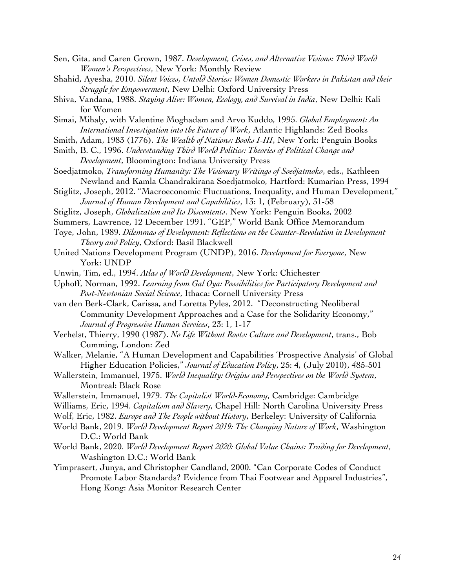- Sen, Gita, and Caren Grown, 1987. *Development, Crises, and Alternative Visions: Third World Women's Perspectives*, New York: Monthly Review
- Shahid, Ayesha, 2010. *Silent Voices, Untold Stories: Women Domestic Workers in Pakistan and their Struggle for Empowerment*, New Delhi: Oxford University Press
- Shiva, Vandana, 1988. *Staying Alive: Women, Ecology, and Survival in India*, New Delhi: Kali for Women
- Simai, Mihaly, with Valentine Moghadam and Arvo Kuddo, 1995. *Global Employment: An International Investigation into the Future of Work*, Atlantic Highlands: Zed Books
- Smith, Adam, 1983 (1776). *The Wealth of Nations: Books I-III*, New York: Penguin Books
- Smith, B. C., 1996. *Understanding Third World Politics: Theories of Political Change and Development*, Bloomington: Indiana University Press
- Soedjatmoko, *Transforming Humanity: The Visionary Writings of Soedjatmoko*, eds., Kathleen Newland and Kamla Chandrakirana Soedjatmoko, Hartford: Kumarian Press, 1994
- Stiglitz, Joseph, 2012. "Macroeconomic Fluctuations, Inequality, and Human Development," *Journal of Human Development and Capabilities*, 13: 1, (February), 31-58
- Stiglitz, Joseph, *Globalization and Its Discontents*. New York: Penguin Books, 2002
- Summers, Lawrence, 12 December 1991. "GEP," World Bank Office Memorandum
- Toye, John, 1989. *Dilemmas of Development: Reflections on the Counter-Revolution in Development Theory and Policy*, Oxford: Basil Blackwell
- United Nations Development Program (UNDP), 2016. *Development for Everyone*, New York: UNDP
- Unwin, Tim, ed., 1994. *Atlas of World Development*, New York: Chichester
- Uphoff, Norman, 1992. *Learning from Gal Oya: Possibilities for Participatory Development and Post-Newtonian Social Science*, Ithaca: Cornell University Press
- van den Berk-Clark, Carissa, and Loretta Pyles, 2012. "Deconstructing Neoliberal Community Development Approaches and a Case for the Solidarity Economy," *Journal of Progressive Human Services*, 23: 1, 1-17
- Verhelst, Thierry, 1990 (1987). *No Life Without Roots: Culture and Development*, trans., Bob Cumming, London: Zed
- Walker, Melanie, "A Human Development and Capabilities 'Prospective Analysis' of Global Higher Education Policies," *Journal of Education Policy*, 25: 4, (July 2010), 485-501
- Wallerstein, Immanuel, 1975. *World Inequality: Origins and Perspectives on the World System*, Montreal: Black Rose
- Wallerstein, Immanuel, 1979. *The Capitalist World-Economy*, Cambridge: Cambridge
- Williams, Eric, 1994. *Capitalism and Slavery*, Chapel Hill: North Carolina University Press
- Wolf, Eric, 1982. *Europe and The People without History*, Berkeley: University of California
- World Bank, 2019. *World Development Report 2019: The Changing Nature of Work*, Washington D.C.: World Bank
- World Bank, 2020. *World Development Report 2020: Global Value Chains: Trading for Development*, Washington D.C.: World Bank
- Yimprasert, Junya, and Christopher Candland, 2000. "Can Corporate Codes of Conduct Promote Labor Standards? Evidence from Thai Footwear and Apparel Industries", Hong Kong: Asia Monitor Research Center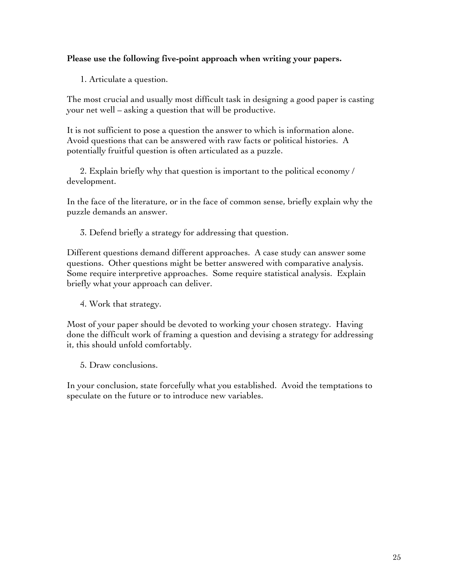# **Please use the following five-point approach when writing your papers.**

1. Articulate a question.

The most crucial and usually most difficult task in designing a good paper is casting your net well – asking a question that will be productive.

It is not sufficient to pose a question the answer to which is information alone. Avoid questions that can be answered with raw facts or political histories. A potentially fruitful question is often articulated as a puzzle.

2. Explain briefly why that question is important to the political economy / development.

In the face of the literature, or in the face of common sense, briefly explain why the puzzle demands an answer.

3. Defend briefly a strategy for addressing that question.

Different questions demand different approaches. A case study can answer some questions. Other questions might be better answered with comparative analysis. Some require interpretive approaches. Some require statistical analysis. Explain briefly what your approach can deliver.

4. Work that strategy.

Most of your paper should be devoted to working your chosen strategy. Having done the difficult work of framing a question and devising a strategy for addressing it, this should unfold comfortably.

5. Draw conclusions.

In your conclusion, state forcefully what you established. Avoid the temptations to speculate on the future or to introduce new variables.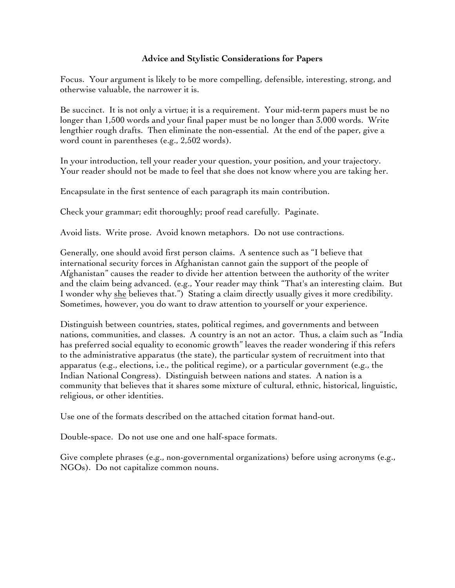# **Advice and Stylistic Considerations for Papers**

Focus. Your argument is likely to be more compelling, defensible, interesting, strong, and otherwise valuable, the narrower it is.

Be succinct. It is not only a virtue; it is a requirement. Your mid-term papers must be no longer than 1,500 words and your final paper must be no longer than 3,000 words. Write lengthier rough drafts. Then eliminate the non-essential. At the end of the paper, give a word count in parentheses (e.g., 2,502 words).

In your introduction, tell your reader your question, your position, and your trajectory. Your reader should not be made to feel that she does not know where you are taking her.

Encapsulate in the first sentence of each paragraph its main contribution.

Check your grammar; edit thoroughly; proof read carefully. Paginate.

Avoid lists. Write prose. Avoid known metaphors. Do not use contractions.

Generally, one should avoid first person claims. A sentence such as "I believe that international security forces in Afghanistan cannot gain the support of the people of Afghanistan" causes the reader to divide her attention between the authority of the writer and the claim being advanced. (e.g., Your reader may think "That's an interesting claim. But I wonder why she believes that.") Stating a claim directly usually gives it more credibility. Sometimes, however, you do want to draw attention to yourself or your experience.

Distinguish between countries, states, political regimes, and governments and between nations, communities, and classes. A country is an not an actor. Thus, a claim such as "India has preferred social equality to economic growth" leaves the reader wondering if this refers to the administrative apparatus (the state), the particular system of recruitment into that apparatus (e.g., elections, i.e., the political regime), or a particular government (e.g., the Indian National Congress). Distinguish between nations and states. A nation is a community that believes that it shares some mixture of cultural, ethnic, historical, linguistic, religious, or other identities.

Use one of the formats described on the attached citation format hand-out.

Double-space. Do not use one and one half-space formats.

Give complete phrases (e.g., non-governmental organizations) before using acronyms (e.g., NGOs). Do not capitalize common nouns.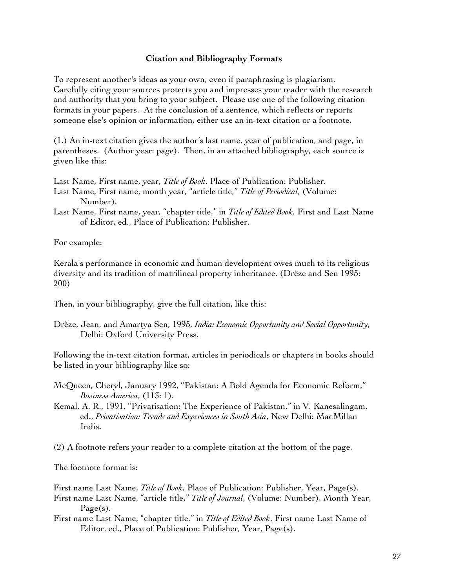### **Citation and Bibliography Formats**

To represent another's ideas as your own, even if paraphrasing is plagiarism. Carefully citing your sources protects you and impresses your reader with the research and authority that you bring to your subject. Please use one of the following citation formats in your papers. At the conclusion of a sentence, which reflects or reports someone else's opinion or information, either use an in-text citation or a footnote.

(1.) An in-text citation gives the author's last name, year of publication, and page, in parentheses. (Author year: page). Then, in an attached bibliography, each source is given like this:

Last Name, First name, year, *Title of Book*, Place of Publication: Publisher. Last Name, First name, month year, "article title," *Title of Periodical*, (Volume: Number).

Last Name, First name, year, "chapter title," in *Title of Edited Book*, First and Last Name of Editor, ed., Place of Publication: Publisher.

For example:

Kerala's performance in economic and human development owes much to its religious diversity and its tradition of matrilineal property inheritance. (Drèze and Sen 1995: 200)

Then, in your bibliography, give the full citation, like this:

Drèze, Jean, and Amartya Sen, 1995, *India: Economic Opportunity and Social Opportunity*, Delhi: Oxford University Press.

Following the in-text citation format, articles in periodicals or chapters in books should be listed in your bibliography like so:

- McQueen, Cheryl, January 1992, "Pakistan: A Bold Agenda for Economic Reform," *Business America*, (113: 1).
- Kemal, A. R., 1991, "Privatisation: The Experience of Pakistan," in V. Kanesalingam, ed., *Privatisation: Trends and Experiences in South Asia*, New Delhi: MacMillan India.
- (2) A footnote refers your reader to a complete citation at the bottom of the page.

The footnote format is:

First name Last Name, *Title of Book*, Place of Publication: Publisher, Year, Page(s).

First name Last Name, "article title," *Title of Journal*, (Volume: Number), Month Year, Page(s).

First name Last Name, "chapter title," in *Title of Edited Book*, First name Last Name of Editor, ed., Place of Publication: Publisher, Year, Page(s).